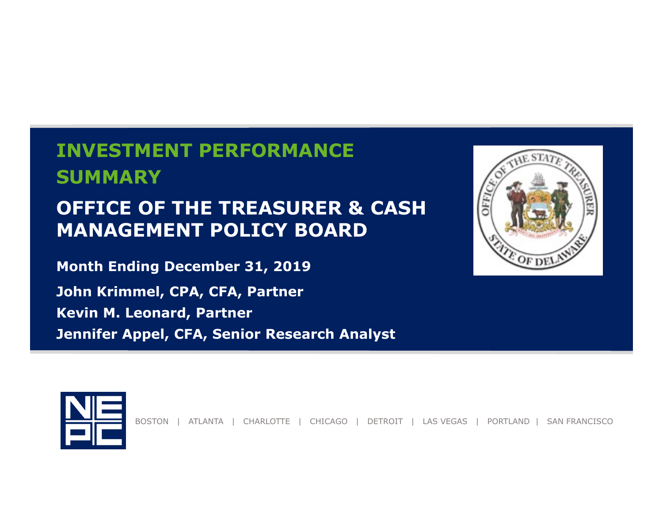**INVESTMENT PERFORMANCESUMMARY**

#### **OFFICE OF THE TREASURER & CASH MANAGEMENT POLICY BOARD**

**Month Ending December 31, 2019**

**John Krimmel, CPA, CFA, Partner Kevin M. Leonard, Partner Jennifer Appel, CFA, Senior Research Analyst**





BOSTON | ATLANTA | CHARLOTTE | CHICAGO | DETROIT | LAS VEGAS | PORTLAND | SAN FRANCISCO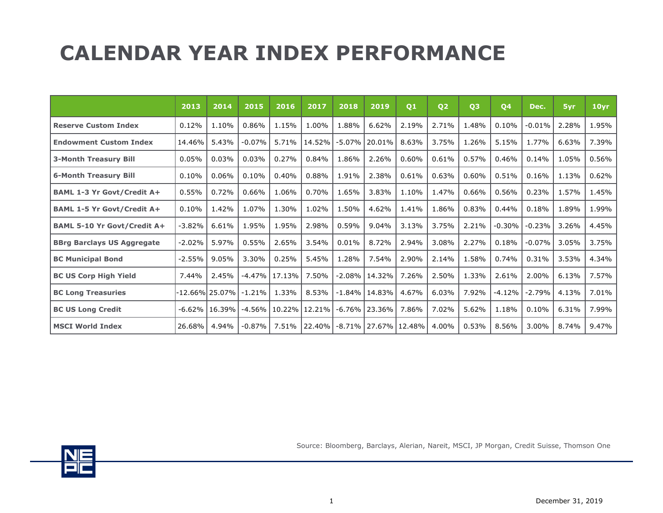## **CALENDAR YEAR INDEX PERFORMANCE**

|                                    | 2013     | 2014              | 2015      | 2016   | 2017   | 2018      | 2019               | Q1            | Q <sub>2</sub> | Q <sub>3</sub> | Q4       | Dec.     | 5yr   | 10 <sub>yr</sub> |
|------------------------------------|----------|-------------------|-----------|--------|--------|-----------|--------------------|---------------|----------------|----------------|----------|----------|-------|------------------|
| <b>Reserve Custom Index</b>        | 0.12%    | 1.10%             | 0.86%     | 1.15%  | 1.00%  | 1.88%     | 6.62%              | 2.19%         | 2.71%          | 1.48%          | 0.10%    | $-0.01%$ | 2.28% | 1.95%            |
| <b>Endowment Custom Index</b>      | 14.46%   | 5.43%             | $-0.07%$  | 5.71%  | 14.52% | $-5.07%$  | 20.01%             | 8.63%         | 3.75%          | 1.26%          | 5.15%    | 1.77%    | 6.63% | 7.39%            |
| <b>3-Month Treasury Bill</b>       | 0.05%    | 0.03%             | 0.03%     | 0.27%  | 0.84%  | 1.86%     | 2.26%              | 0.60%         | 0.61%          | 0.57%          | 0.46%    | 0.14%    | 1.05% | 0.56%            |
| <b>6-Month Treasury Bill</b>       | 0.10%    | 0.06%             | 0.10%     | 0.40%  | 0.88%  | 1.91%     | 2.38%              | 0.61%         | 0.63%          | 0.60%          | 0.51%    | 0.16%    | 1.13% | 0.62%            |
| <b>BAML 1-3 Yr Govt/Credit A+</b>  | 0.55%    | 0.72%             | 0.66%     | 1.06%  | 0.70%  | 1.65%     | 3.83%              | 1.10%         | 1.47%          | 0.66%          | 0.56%    | 0.23%    | 1.57% | 1.45%            |
| <b>BAML 1-5 Yr Govt/Credit A+</b>  | 0.10%    | 1.42%             | 1.07%     | 1.30%  | 1.02%  | 1.50%     | 4.62%              | 1.41%         | 1.86%          | 0.83%          | 0.44%    | 0.18%    | 1.89% | 1.99%            |
| <b>BAML 5-10 Yr Govt/Credit A+</b> | $-3.82%$ | 6.61%             | 1.95%     | 1.95%  | 2.98%  | 0.59%     | 9.04%              | 3.13%         | 3.75%          | 2.21%          | $-0.30%$ | $-0.23%$ | 3.26% | 4.45%            |
| <b>BBrg Barclays US Aggregate</b>  | $-2.02%$ | 5.97%             | 0.55%     | 2.65%  | 3.54%  | 0.01%     | 8.72%              | 2.94%         | 3.08%          | 2.27%          | 0.18%    | $-0.07%$ | 3.05% | 3.75%            |
| <b>BC Municipal Bond</b>           | $-2.55%$ | 9.05%             | 3.30%     | 0.25%  | 5.45%  | 1.28%     | 7.54%              | 2.90%         | 2.14%          | 1.58%          | 0.74%    | 0.31%    | 3.53% | 4.34%            |
| <b>BC US Corp High Yield</b>       | 7.44%    | 2.45%             | $-4.47%$  | 17.13% | 7.50%  | $-2.08\%$ | 14.32%             | 7.26%         | 2.50%          | 1.33%          | 2.61%    | 2.00%    | 6.13% | 7.57%            |
| <b>BC Long Treasuries</b>          |          | -12.66%l 25.07% l | $-1.21\%$ | 1.33%  | 8.53%  | $-1.84\%$ | 14.83%             | 4.67%         | 6.03%          | 7.92%          | $-4.12%$ | $-2.79%$ | 4.13% | 7.01%            |
| <b>BC US Long Credit</b>           | $-6.62%$ | 16.39%            | $-4.56\%$ | 10.22% | 12.21% |           | $-6.76\%$   23.36% | 7.86%         | 7.02%          | 5.62%          | 1.18%    | 0.10%    | 6.31% | 7.99%            |
| <b>MSCI World Index</b>            | 26.68%   | 4.94%             | $-0.87%$  | 7.51%  | 22.40% | $-8.71\%$ |                    | 27.67% 12.48% | 4.00%          | 0.53%          | 8.56%    | 3.00%    | 8.74% | 9.47%            |



Source: Bloomberg, Barclays, Alerian, Nareit, MSCI, JP Morgan, Credit Suisse, Thomson One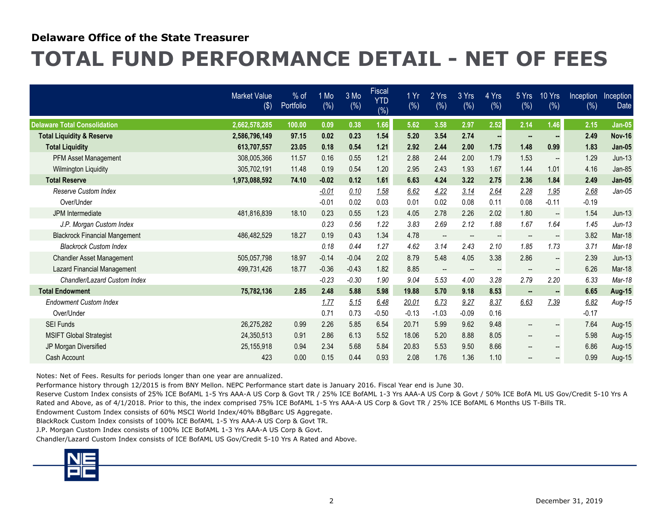#### **Delaware Office of the State Treasurer**

### **TOTAL FUND PERFORMANCE DETAIL - NET OF FEES**

|                                      | <b>Market Value</b><br>$($ \$) | $%$ of<br>Portfolio | 1 Mo<br>$(\%)$ | 3 Mo<br>(%) | Fiscal<br><b>YTD</b><br>(%) | 1 Yr<br>(%) | 2 Yrs<br>$(\%)$          | 3 Yrs<br>$(\% )$         | 4 Yrs<br>(%)             | 5 Yrs<br>(%)             | 10 Yrs<br>(%)            | Inception<br>(%) | Inception<br>Date |
|--------------------------------------|--------------------------------|---------------------|----------------|-------------|-----------------------------|-------------|--------------------------|--------------------------|--------------------------|--------------------------|--------------------------|------------------|-------------------|
| <b>Delaware Total Consolidation</b>  | 2.662.578.285                  | 100.00              | 0.09           | 0.38        | 1.66                        | 5.62        | 3.58                     | 2.97                     | 2.52                     | 2.14                     | 1.46                     | 2.15             | <b>Jan-05</b>     |
| <b>Total Liquidity &amp; Reserve</b> | 2,586,796,149                  | 97.15               | 0.02           | 0.23        | 1.54                        | 5.20        | 3.54                     | 2.74                     |                          |                          |                          | 2.49             | <b>Nov-16</b>     |
| <b>Total Liquidity</b>               | 613,707,557                    | 23.05               | 0.18           | 0.54        | 1.21                        | 2.92        | 2.44                     | 2.00                     | 1.75                     | 1.48                     | 0.99                     | 1.83             | <b>Jan-05</b>     |
| PFM Asset Management                 | 308,005,366                    | 11.57               | 0.16           | 0.55        | 1.21                        | 2.88        | 2.44                     | 2.00                     | 1.79                     | 1.53                     | $\overline{\phantom{a}}$ | 1.29             | $Jun-13$          |
| <b>Wilmington Liquidity</b>          | 305,702,191                    | 11.48               | 0.19           | 0.54        | 1.20                        | 2.95        | 2.43                     | 1.93                     | 1.67                     | 1.44                     | 1.01                     | 4.16             | Jan-85            |
| <b>Total Reserve</b>                 | 1,973,088,592                  | 74.10               | $-0.02$        | 0.12        | 1.61                        | 6.63        | 4.24                     | 3.22                     | 2.75                     | 2.36                     | 1.84                     | 2.49             | <b>Jan-05</b>     |
| <b>Reserve Custom Index</b>          |                                |                     | $-0.01$        | 0.10        | 1.58                        | 6.62        | 4.22                     | 3.14                     | 2.64                     | 2.28                     | 1.95                     | 2.68             | $Jan-05$          |
| Over/Under                           |                                |                     | $-0.01$        | 0.02        | 0.03                        | 0.01        | 0.02                     | 0.08                     | 0.11                     | 0.08                     | $-0.11$                  | $-0.19$          |                   |
| <b>JPM</b> Intermediate              | 481.816.839                    | 18.10               | 0.23           | 0.55        | 1.23                        | 4.05        | 2.78                     | 2.26                     | 2.02                     | 1.80                     | $\overline{\phantom{a}}$ | 1.54             | $Jun-13$          |
| J.P. Morgan Custom Index             |                                |                     | 0.23           | 0.56        | 1.22                        | 3.83        | 2.69                     | 2.12                     | 1.88                     | 1.67                     | 1.64                     | 1.45             | $Jun-13$          |
| <b>Blackrock Financial Mangement</b> | 486,482,529                    | 18.27               | 0.19           | 0.43        | 1.34                        | 4.78        | $\overline{\phantom{a}}$ | $\qquad \qquad -$        | $\overline{\phantom{a}}$ | $\overline{\phantom{a}}$ | $\overline{\phantom{a}}$ | 3.82             | Mar-18            |
| <b>Blackrock Custom Index</b>        |                                |                     | 0.18           | 0.44        | 1.27                        | 4.62        | 3.14                     | 2.43                     | 2.10                     | 1.85                     | 1.73                     | 3.71             | Mar-18            |
| <b>Chandler Asset Management</b>     | 505.057.798                    | 18.97               | $-0.14$        | $-0.04$     | 2.02                        | 8.79        | 5.48                     | 4.05                     | 3.38                     | 2.86                     | --                       | 2.39             | $Jun-13$          |
| <b>Lazard Financial Management</b>   | 499,731,426                    | 18.77               | $-0.36$        | $-0.43$     | 1.82                        | 8.85        | $\overline{\phantom{a}}$ | $\overline{\phantom{a}}$ | $\overline{\phantom{a}}$ | $\overline{\phantom{a}}$ | $\overline{\phantom{a}}$ | 6.26             | Mar-18            |
| Chandler/Lazard Custom Index         |                                |                     | $-0.23$        | $-0.30$     | 1.90                        | 9.04        | 5.53                     | 4.00                     | 3.28                     | 2.79                     | 2.20                     | 6.33             | Mar-18            |
| <b>Total Endowment</b>               | 75,782,136                     | 2.85                | 2.48           | 5.88        | 5.98                        | 19.88       | 5.70                     | 9.18                     | 8.53                     |                          |                          | 6.65             | <b>Aug-15</b>     |
| <b>Endowment Custom Index</b>        |                                |                     | 1.77           | 5.15        | 6.48                        | 20.01       | 6.73                     | 9.27                     | 8.37                     | 6.63                     | 7.39                     | 6.82             | Aug-15            |
| Over/Under                           |                                |                     | 0.71           | 0.73        | $-0.50$                     | $-0.13$     | $-1.03$                  | $-0.09$                  | 0.16                     |                          |                          | $-0.17$          |                   |
| <b>SEI Funds</b>                     | 26.275.282                     | 0.99                | 2.26           | 5.85        | 6.54                        | 20.71       | 5.99                     | 9.62                     | 9.48                     |                          |                          | 7.64             | Aug-15            |
| <b>MSIFT Global Strategist</b>       | 24,350,513                     | 0.91                | 2.86           | 6.13        | 5.52                        | 18.06       | 5.20                     | 8.88                     | 8.05                     | $-$                      | $\overline{\phantom{a}}$ | 5.98             | Aug-15            |
| JP Morgan Diversified                | 25,155,918                     | 0.94                | 2.34           | 5.68        | 5.84                        | 20.83       | 5.53                     | 9.50                     | 8.66                     | $\hspace{0.05cm}$ –      | $-$                      | 6.86             | Aug-15            |
| Cash Account                         | 423                            | 0.00                | 0.15           | 0.44        | 0.93                        | 2.08        | 1.76                     | 1.36                     | 1.10                     |                          |                          | 0.99             | Aug-15            |

Notes: Net of Fees. Results for periods longer than one year are annualized.

Performance history through 12/2015 is from BNY Mellon. NEPC Performance start date is January 2016. Fiscal Year end is June 30.

Reserve Custom Index consists of 25% ICE BofAML 1-5 Yrs AAA-A US Corp & Govt TR / 25% ICE BofAML 1-3 Yrs AAA-A US Corp & Govt / 50% ICE BofA ML US Gov/Credit 5-10 Yrs A Rated and Above, as of 4/1/2018. Prior to this, the index comprised 75% ICE BofAML 1-5 Yrs AAA-A US Corp & Govt TR / 25% ICE BofAML 6 Months US T-Bills TR.

Endowment Custom Index consists of 60% MSCI World Index/40% BBgBarc US Aggregate.

BlackRock Custom Index consists of 100% ICE BofAML 1-5 Yrs AAA-A US Corp & Govt TR.

J.P. Morgan Custom Index consists of 100% ICE BofAML 1-3 Yrs AAA-A US Corp & Govt.

Chandler/Lazard Custom Index consists of ICE BofAML US Gov/Credit 5-10 Yrs A Rated and Above.

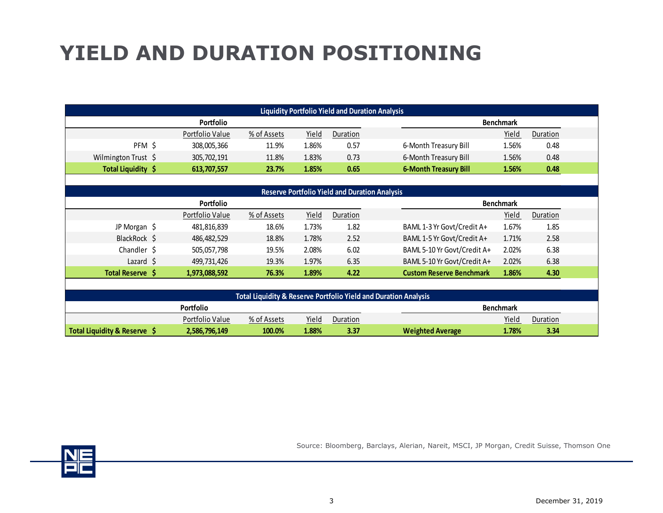# **YIELD AND DURATION POSITIONING**

|                              | <b>Liquidity Portfolio Yield and Duration Analysis</b> |             |       |                  |                                                                            |                  |          |  |  |  |  |  |  |  |  |
|------------------------------|--------------------------------------------------------|-------------|-------|------------------|----------------------------------------------------------------------------|------------------|----------|--|--|--|--|--|--|--|--|
|                              | Portfolio                                              |             |       |                  |                                                                            | <b>Benchmark</b> |          |  |  |  |  |  |  |  |  |
|                              | Portfolio Value                                        | % of Assets | Yield | Duration         |                                                                            | Yield            | Duration |  |  |  |  |  |  |  |  |
| PFM \$                       | 308,005,366                                            | 11.9%       | 1.86% | 0.57             | 6-Month Treasury Bill                                                      | 1.56%            | 0.48     |  |  |  |  |  |  |  |  |
| Wilmington Trust \$          | 305,702,191                                            | 11.8%       | 1.83% | 0.73             | 6-Month Treasury Bill                                                      | 1.56%            | 0.48     |  |  |  |  |  |  |  |  |
| Total Liquidity \$           | 613,707,557                                            | 23.7%       | 1.85% | 0.65             | <b>6-Month Treasury Bill</b>                                               | 1.56%            | 0.48     |  |  |  |  |  |  |  |  |
|                              |                                                        |             |       |                  |                                                                            |                  |          |  |  |  |  |  |  |  |  |
|                              | <b>Reserve Portfolio Yield and Duration Analysis</b>   |             |       |                  |                                                                            |                  |          |  |  |  |  |  |  |  |  |
|                              | Portfolio                                              |             |       | <b>Benchmark</b> |                                                                            |                  |          |  |  |  |  |  |  |  |  |
|                              | Portfolio Value                                        | % of Assets | Yield | Duration         |                                                                            | Yield            | Duration |  |  |  |  |  |  |  |  |
| JP Morgan \$                 | 481,816,839                                            | 18.6%       | 1.73% | 1.82             | BAML 1-3 Yr Govt/Credit A+                                                 | 1.67%            | 1.85     |  |  |  |  |  |  |  |  |
| BlackRock \$                 | 486,482,529                                            | 18.8%       | 1.78% | 2.52             | BAML 1-5 Yr Govt/Credit A+                                                 | 1.71%            | 2.58     |  |  |  |  |  |  |  |  |
| Chandler \$                  | 505,057,798                                            | 19.5%       | 2.08% | 6.02             | BAML 5-10 Yr Govt/Credit A+                                                | 2.02%            | 6.38     |  |  |  |  |  |  |  |  |
| Lazard $\frac{1}{2}$         | 499,731,426                                            | 19.3%       | 1.97% | 6.35             | BAML 5-10 Yr Govt/Credit A+                                                | 2.02%            | 6.38     |  |  |  |  |  |  |  |  |
| Total Reserve \$             | 1,973,088,592                                          | 76.3%       | 1.89% | 4.22             | <b>Custom Reserve Benchmark</b>                                            | 1.86%            | 4.30     |  |  |  |  |  |  |  |  |
|                              |                                                        |             |       |                  |                                                                            |                  |          |  |  |  |  |  |  |  |  |
|                              |                                                        |             |       |                  | <b>Total Liquidity &amp; Reserve Portfolio Yield and Duration Analysis</b> |                  |          |  |  |  |  |  |  |  |  |
|                              | Portfolio<br><b>Benchmark</b>                          |             |       |                  |                                                                            |                  |          |  |  |  |  |  |  |  |  |
|                              | Portfolio Value                                        | % of Assets | Yield | Duration         |                                                                            | Yield            | Duration |  |  |  |  |  |  |  |  |
| Total Liquidity & Reserve \$ | 2,586,796,149                                          | 100.0%      | 1.88% | 3.37             | <b>Weighted Average</b>                                                    | 1.78%            | 3.34     |  |  |  |  |  |  |  |  |



Source: Bloomberg, Barclays, Alerian, Nareit, MSCI, JP Morgan, Credit Suisse, Thomson One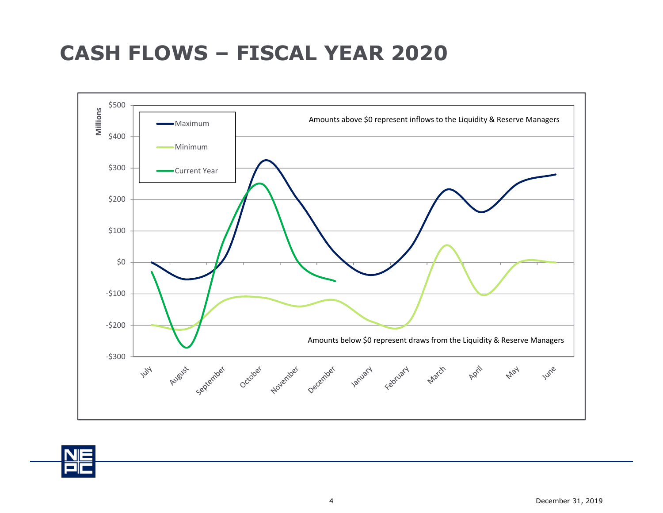#### **CASH FLOWS – FISCAL YEAR 2020**



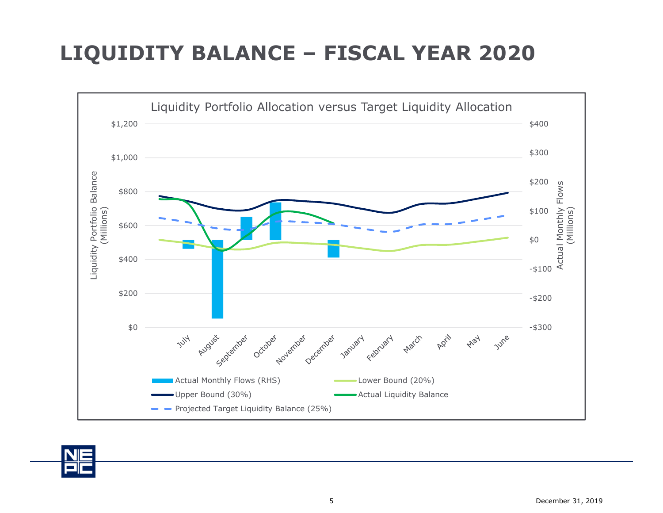### **LIQUIDITY BALANCE – FISCAL YEAR 2020**



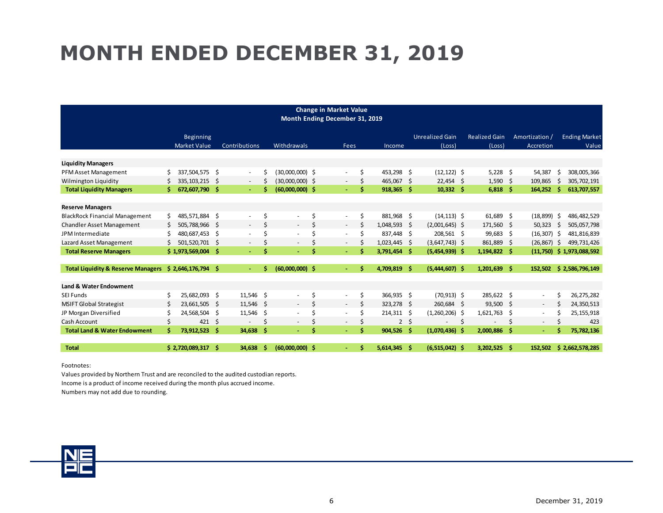## **MONTH ENDED DECEMBER 31, 2019**

| <b>Change in Market Value</b><br>Month Ending December 31, 2019           |    |                                  |              |                          |    |                                              |    |                                                      |         |                            |    |                                    |                                |      |                             |     |                               |
|---------------------------------------------------------------------------|----|----------------------------------|--------------|--------------------------|----|----------------------------------------------|----|------------------------------------------------------|---------|----------------------------|----|------------------------------------|--------------------------------|------|-----------------------------|-----|-------------------------------|
|                                                                           |    | Beginning<br><b>Market Value</b> |              | Contributions            |    | <b>Withdrawals</b>                           |    | Fees                                                 |         | Income                     |    | <b>Unrealized Gain</b><br>(Loss)   | <b>Realized Gain</b><br>(Loss) |      | Amortization /<br>Accretion |     | <b>Ending Market</b><br>Value |
|                                                                           |    |                                  |              |                          |    |                                              |    |                                                      |         |                            |    |                                    |                                |      |                             |     |                               |
| <b>Liquidity Managers</b>                                                 | Ś. | 337,504,575 \$                   |              |                          | Ś  | (30,000,000) \$                              |    |                                                      | \$      | 453,298 \$                 |    | $(12, 122)$ \$                     | $5,228$ \$                     |      | 54,387                      | Ŝ   | 308,005,366                   |
| PFM Asset Management<br>Wilmington Liquidity                              |    | 335, 103, 215                    | - \$         | $\sim$<br>$\sim$         |    | (30,000,000) \$                              |    | $\sim$<br>$\sim$                                     | \$      | 465,067                    | -S | $22,454$ \$                        | $1,590$ \$                     |      | 109,865                     | .S  | 305,702,191                   |
| <b>Total Liquidity Managers</b>                                           |    | 672,607,790                      | - S          | $\sim$                   | Ś  | $(60,000,000)$ \$                            |    | $\omega$                                             | Ś       | 918,365                    | -Ś | $10,332$ \$                        | 6,818                          | - \$ | 164,252                     | -Ś  | 613,707,557                   |
|                                                                           |    |                                  |              |                          |    |                                              |    |                                                      |         |                            |    |                                    |                                |      |                             |     |                               |
| <b>Reserve Managers</b>                                                   |    |                                  |              |                          | \$ |                                              | Ś  |                                                      |         |                            |    |                                    |                                |      |                             |     |                               |
| <b>BlackRock Financial Management</b><br><b>Chandler Asset Management</b> | \$ | 485,571,884<br>505,788,966       | - \$<br>- \$ | $\sim$                   | Ś  | $\overline{\phantom{a}}$<br>$\sim$           | Ś  | $\overline{\phantom{a}}$<br>$\sim$                   | \$<br>Ś | 881,968 \$<br>1,048,593 \$ |    | $(14, 113)$ \$<br>$(2,001,645)$ \$ | 61,689 \$<br>171,560 \$        |      | (18, 899)<br>50,323         | -\$ | 486, 482, 529<br>505,057,798  |
| JPM Intermediate                                                          |    | 480,687,453                      |              | $\overline{\phantom{a}}$ | Ś  | $\overline{\phantom{a}}$                     |    |                                                      | Ś       | 837.448                    |    | 208,561 \$                         | 99,683 \$                      |      | $(16, 307)$ \$              | -S  |                               |
| Lazard Asset Management                                                   |    | 501,520,701                      | -\$<br>-\$   |                          | Ś  |                                              |    | $\overline{\phantom{a}}$<br>$\overline{\phantom{a}}$ | Ś       | $1,023,445$ \$             | -S | $(3,647,743)$ \$                   | 861,889                        | Ŝ.   | (26, 867)                   | -Ś  | 481,816,839<br>499,731,426    |
| <b>Total Reserve Managers</b>                                             |    | \$1,973,569,004                  | - Ś          | $\sim$                   | S  | $\overline{\phantom{a}}$<br>$\Delta \sim 10$ |    | ÷.                                                   | Ś       | 3,791,454 \$               |    | $(5,454,939)$ \$                   | $1,194,822$ \$                 |      | (11,750)                    |     | \$1,973,088,592               |
|                                                                           |    |                                  |              |                          |    |                                              |    |                                                      |         |                            |    |                                    |                                |      |                             |     |                               |
| <b>Total Liquidity &amp; Reserve Managers</b>                             |    | $$2,646,176,794$ \$              |              |                          | S  | $(60,000,000)$ \$                            |    | $\sim$                                               | Ś       | 4,709,819 \$               |    | $(5,444,607)$ \$                   | $1,201,639$ \$                 |      | 152,502                     |     | \$2,586,796,149               |
| Land & Water Endowment                                                    |    |                                  |              |                          |    |                                              |    |                                                      |         |                            |    |                                    |                                |      |                             |     |                               |
| <b>SEI Funds</b>                                                          |    | 25,682,093 \$                    |              | $11,546$ \$              |    | $\overline{\phantom{a}}$                     | \$ | $\sim$                                               | \$      | 366,935 \$                 |    | $(70, 913)$ \$                     | 285,622 \$                     |      | $\overline{\phantom{a}}$    | Ś   | 26,275,282                    |
| <b>MSIFT Global Strategist</b>                                            | S  | 23,661,505                       | - \$         | 11,546                   | Ŝ. | $\sim$                                       | Ś  | $\sim$                                               | \$      | 323,278 \$                 |    | 260,684 \$                         | 93,500 \$                      |      | $\sim$                      | Ś   | 24,350,513                    |
| JP Morgan Diversified                                                     |    | 24,568,504                       | - \$         | $11,546$ \$              |    | $\overline{\phantom{a}}$                     | Ś  | $\overline{\phantom{a}}$                             | Ś       | $214,311 \quad$ \$         |    | $(1,260,206)$ \$                   | 1,621,763                      | - \$ | $\overline{\phantom{a}}$    | S   | 25, 155, 918                  |
| Cash Account                                                              | \$ | 421                              | -\$          | $\overline{\phantom{a}}$ | \$ | $\overline{\phantom{a}}$                     |    | $\sim$                                               | \$      | $\overline{2}$             | \$ | $\overline{\phantom{a}}$           | \$                             | \$   | $\overline{\phantom{a}}$    | Ś   | 423                           |
| <b>Total Land &amp; Water Endowment</b>                                   | Ŝ  | 73,912,523                       | - \$         | 34,638                   | -Ŝ | $\sim$                                       | Ś  | $\sim$                                               | Ś       | $904,526$ \$               |    | $(1,070,436)$ \$                   | 2,000,886                      | -Ŝ   | $\sim$                      | Ś   | 75,782,136                    |
| <b>Total</b>                                                              |    | \$2,720,089,317                  | -Ŝ           | 34,638                   | Ŝ  | $(60,000,000)$ \$                            |    |                                                      | Ś       | 5,614,345                  | -Ś | $(6,515,042)$ \$                   | 3,202,525                      | - Š  | 152,502                     |     | \$2,662,578,285               |

Footnotes:

Values provided by Northern Trust and are reconciled to the audited custodian reports. Income is a product of income received during the month plus accrued income. Numbers may not add due to rounding.

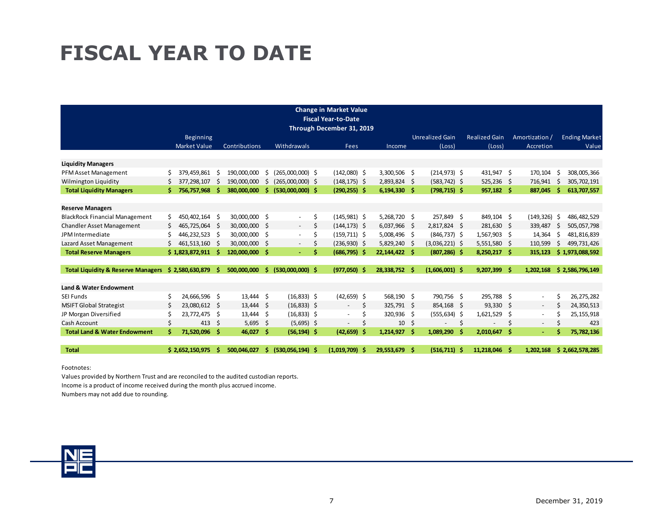### **FISCAL YEAR TO DATE**

|                                               |    |                     |          |                      |        |                    |    | <b>Change in Market Value</b><br><b>Fiscal Year-to-Date</b><br>Through December 31, 2019 |                |    |                                    |    |                          |     |                          |     |                      |
|-----------------------------------------------|----|---------------------|----------|----------------------|--------|--------------------|----|------------------------------------------------------------------------------------------|----------------|----|------------------------------------|----|--------------------------|-----|--------------------------|-----|----------------------|
|                                               |    | <b>Beginning</b>    |          |                      |        |                    |    |                                                                                          |                |    | <b>Unrealized Gain</b>             |    | <b>Realized Gain</b>     |     | Amortization /           |     | <b>Ending Market</b> |
|                                               |    | <b>Market Value</b> |          | <b>Contributions</b> |        | Withdrawals        |    | Fees                                                                                     | Income         |    | (Loss)                             |    | (Loss)                   |     | Accretion                |     | Value                |
|                                               |    |                     |          |                      |        |                    |    |                                                                                          |                |    |                                    |    |                          |     |                          |     |                      |
| <b>Liquidity Managers</b>                     | Ś. | 379,459,861         |          | 190.000.000          |        | (265,000,000) \$   |    | $(142,080)$ \$                                                                           | 3,300,506 \$   |    |                                    |    |                          |     | 170,104                  | Ŝ.  | 308,005,366          |
| PFM Asset Management<br>Wilmington Liquidity  |    | 377,298,107         | -S<br>.S | 190.000.000          | S<br>S | $(265,000,000)$ \$ |    | $(148, 175)$ \$                                                                          | 2,893,824 \$   |    | $(214, 973)$ \$<br>$(583, 742)$ \$ |    | 431,947 \$<br>525,236 \$ |     | 716,941                  | Ŝ   | 305,702,191          |
| <b>Total Liquidity Managers</b>               | Ś  | 756,757,968         |          | 380,000,000          | Ś      | $(530,000,000)$ \$ |    | $(290, 255)$ \$                                                                          | $6,194,330$ \$ |    | $(798, 715)$ \$                    |    | 957,182 \$               |     | 887,045                  | Ŝ   | 613,707,557          |
|                                               |    |                     |          |                      |        |                    |    |                                                                                          |                |    |                                    |    |                          |     |                          |     |                      |
| <b>Reserve Managers</b>                       |    |                     |          |                      |        |                    |    |                                                                                          |                |    |                                    |    |                          |     |                          |     |                      |
| <b>BlackRock Financial Management</b>         | Ś. | 450,402,164         | - \$     | 30,000,000           | -\$    | $\sim$             | \$ | $(145, 981)$ \$                                                                          | 5,268,720 \$   |    | 257,849 \$                         |    | 849,104 \$               |     | (149, 326)               | -\$ | 486,482,529          |
| <b>Chandler Asset Management</b>              | Ś  | 465,725,064         | - \$     | 30,000,000           | Ŝ.     | $\sim$             | \$ | $(144, 173)$ \$                                                                          | $6,037,966$ \$ |    | 2,817,824 \$                       |    | 281,630 \$               |     | 339,487                  | S   | 505,057,798          |
| JPM Intermediate                              |    | 446.232.523         | - \$     | 30.000.000           | -\$    | $\sim$             | \$ | $(159, 711)$ \$                                                                          | 5.008.496 \$   |    | $(846, 737)$ \$                    |    | 1,567,903 \$             |     | 14,364                   | Ś   | 481,816,839          |
| Lazard Asset Management                       |    | 461,513,160         | - S      | 30,000,000           | S.     |                    | \$ | $(236,930)$ \$                                                                           | 5,829,240 \$   |    | $(3,036,221)$ \$                   |    | $5,551,580$ \$           |     | 110,599                  | Ŝ   | 499,731,426          |
| <b>Total Reserve Managers</b>                 |    | \$1,823,872,911     | - S      | 120,000,000          | -Ś     | ÷.                 | Ś. | $(686, 795)$ \$                                                                          | 22,144,422 \$  |    | $(807, 286)$ \$                    |    | $8,250,217$ \$           |     | 315,123                  |     | \$1,973,088,592      |
|                                               |    |                     |          |                      |        |                    |    |                                                                                          |                |    |                                    |    |                          |     |                          |     |                      |
| <b>Total Liquidity &amp; Reserve Managers</b> |    | \$2,580,630,879     |          | 500,000,000          | Ś      | $(530,000,000)$ \$ |    | $(977,050)$ \$                                                                           | 28,338,752     | -S | $(1,606,001)$ \$                   |    | 9,207,399                | - Ś | 1,202,168                |     | \$2,586,796,149      |
|                                               |    |                     |          |                      |        |                    |    |                                                                                          |                |    |                                    |    |                          |     |                          |     |                      |
| Land & Water Endowment                        |    |                     |          |                      |        |                    |    |                                                                                          |                |    |                                    |    |                          |     |                          |     |                      |
| <b>SEI Funds</b>                              | Ś. | 24,666,596 \$       |          | $13,444$ \$          |        | $(16, 833)$ \$     |    | $(42, 659)$ \$                                                                           | 568,190 \$     |    | 790,756 \$                         |    | 295,788 \$               |     | $\blacksquare$           | \$  | 26, 275, 282         |
| <b>MSIFT Global Strategist</b>                |    | 23,080,612 \$       |          | $13,444$ \$          |        | $(16,833)$ \$      |    | Ś<br>$\overline{\phantom{a}}$                                                            | 325,791 \$     |    | 854,168 \$                         |    | $93,330$ \$              |     | $\sim$                   | Ś   | 24,350,513           |
| JP Morgan Diversified                         |    | 23,772,475 \$       |          | $13,444$ \$          |        | $(16,833)$ \$      |    |                                                                                          | 320,936 \$     |    | $(555, 634)$ \$                    |    | 1,621,529                | -\$ | $\overline{\phantom{a}}$ | Ś   | 25, 155, 918         |
| Cash Account                                  | Ś  | 413                 | -\$      | 5,695                | - \$   | $(5,695)$ \$       |    |                                                                                          | 10             | \$ |                                    | \$ |                          | \$  | $\overline{\phantom{a}}$ | Ś   | 423                  |
| <b>Total Land &amp; Water Endowment</b>       | Ś  | 71,520,096          | - Ś      | 46,027               | -S     | $(56, 194)$ \$     |    | (42, 659)<br>-S                                                                          | 1,214,927      | -Ś | 1,089,290                          | S  | 2,010,647                | −\$ | $\sim$                   | Ś   | 75,782,136           |
|                                               |    |                     |          |                      |        |                    |    |                                                                                          |                |    |                                    |    |                          |     |                          |     |                      |
| <b>Total</b>                                  |    | \$2,652,150,975     |          | 500.046.027          | Ś.     | $(530,056,194)$ \$ |    | $(1,019,709)$ \$                                                                         | 29,553,679 \$  |    | $(516, 711)$ \$                    |    | 11,218,046               | - Ś | 1,202,168                |     | \$2,662,578,285      |

Footnotes:

Values provided by Northern Trust and are reconciled to the audited custodian reports. Income is a product of income received during the month plus accrued income. Numbers may not add due to rounding.

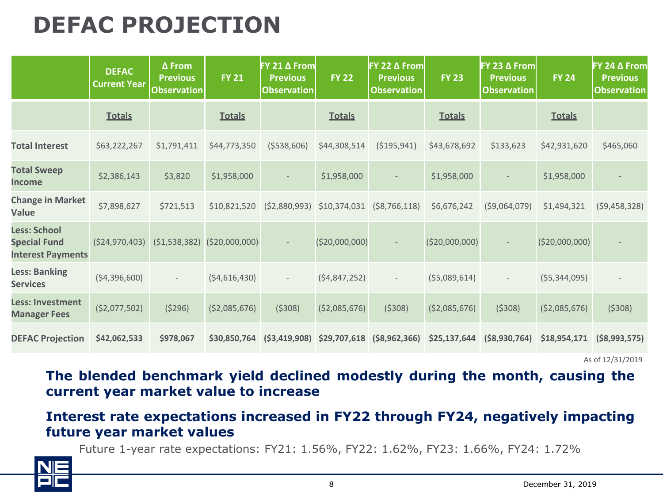#### **DEFAC PROJECTION**

|                                                                        | <b>DEFAC</b><br><b>Current Year</b> | $\Delta$ From<br><b>Previous</b><br><b>Observation</b> | <b>FY 21</b>   | $FY$ 21 $\Delta$ From<br><b>Previous</b><br><b>Observation</b> | <b>FY 22</b>                  | <b>FY 22 <math>\Delta</math> From</b><br><b>Previous</b><br><b>Observation</b> | <b>FY 23</b>    | <b>FY 23 <math>\Delta</math> From</b><br><b>Previous</b><br><b>Observation</b> | <b>FY 24</b>    | FY 24 ∆ From<br><b>Previous</b><br><b>Observation</b> |
|------------------------------------------------------------------------|-------------------------------------|--------------------------------------------------------|----------------|----------------------------------------------------------------|-------------------------------|--------------------------------------------------------------------------------|-----------------|--------------------------------------------------------------------------------|-----------------|-------------------------------------------------------|
|                                                                        | <b>Totals</b>                       |                                                        | <b>Totals</b>  |                                                                | <b>Totals</b>                 |                                                                                | <b>Totals</b>   |                                                                                | <b>Totals</b>   |                                                       |
| <b>Total Interest</b>                                                  | \$63,222,267                        | \$1,791,411                                            | \$44,773,350   | ( \$538, 606)                                                  | \$44,308,514                  | ( \$195, 941)                                                                  | \$43,678,692    | \$133,623                                                                      | \$42,931,620    | \$465,060                                             |
| <b>Total Sweep</b><br><b>Income</b>                                    | \$2,386,143                         | \$3,820                                                | \$1,958,000    |                                                                | \$1,958,000                   |                                                                                | \$1,958,000     |                                                                                | \$1,958,000     |                                                       |
| <b>Change in Market</b><br>Value                                       | \$7,898,627                         | \$721,513                                              | \$10,821,520   | ( \$2,880,993)                                                 | \$10,374,031                  | ( \$8,766,118)                                                                 | \$6,676,242     | ( \$9,064,079)                                                                 | \$1,494,321     | (59, 458, 328)                                        |
| <b>Less: School</b><br><b>Special Fund</b><br><b>Interest Payments</b> | ( \$24,970,403)                     | (51, 538, 382)                                         | (\$20,000,000) |                                                                | (\$20,000,000)                |                                                                                | ( \$20,000,000) |                                                                                | ( \$20,000,000) |                                                       |
| <b>Less: Banking</b><br><b>Services</b>                                | (54, 396, 600)                      | $\overline{\phantom{a}}$                               | (54,616,430)   | $\overline{\phantom{a}}$                                       | (54, 847, 252)                | $\overline{\phantom{a}}$                                                       | (55,089,614)    | $\overline{\phantom{a}}$                                                       | (55, 344, 095)  |                                                       |
| <b>Less: Investment</b><br><b>Manager Fees</b>                         | ( \$2,077,502)                      | (5296)                                                 | ( \$2,085,676) | (5308)                                                         | (52,085,676)                  | (5308)                                                                         | ( \$2,085,676)  | (5308)                                                                         | ( \$2,085,676)  | (5308)                                                |
| <b>DEFAC Projection</b>                                                | \$42,062,533                        | \$978,067                                              | \$30,850,764   |                                                                | $(53, 419, 908)$ \$29,707,618 | $($ \$8,962,366)                                                               | \$25,137,644    | ( \$8,930,764)                                                                 | \$18,954,171    | ( \$8,993,575)                                        |

As of 12/31/2019

**The blended benchmark yield declined modestly during the month, causing the current year market value to increase**

#### **Interest rate expectations increased in FY22 through FY24, negatively impacting future year market values**

Future 1-year rate expectations: FY21: 1.56%, FY22: 1.62%, FY23: 1.66%, FY24: 1.72%

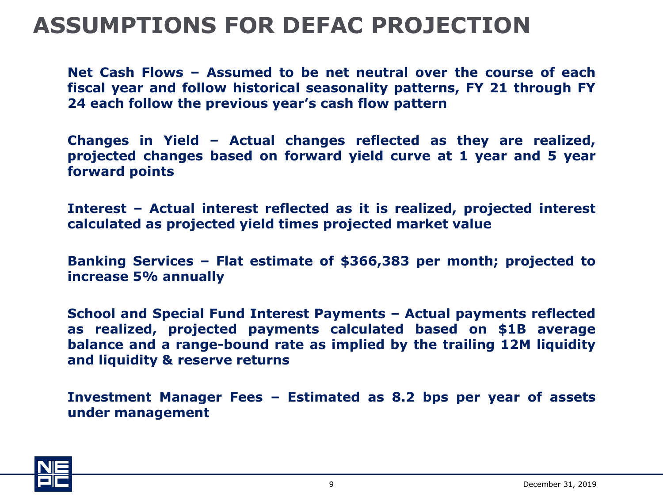#### **ASSUMPTIONS FOR DEFAC PROJECTION**

**Net Cash Flows – Assumed to be net neutral over the course of each fiscal year and follow historical seasonality patterns, FY 21 through FY 24 each follow the previous year's cash flow pattern**

**Changes in Yield – Actual changes reflected as they are realized, projected changes based on forward yield curve at 1 year and 5 year forward points**

**Interest – Actual interest reflected as it is realized, projected interest calculated as projected yield times projected market value**

**Banking Services – Flat estimate of \$366,383 per month; projected to increase 5% annually**

**School and Special Fund Interest Payments – Actual payments reflected as realized, projected payments calculated based on \$1B average balance and a range-bound rate as implied by the trailing 12M liquidity and liquidity & reserve returns**

**Investment Manager Fees – Estimated as 8.2 bps per year of assets under management**